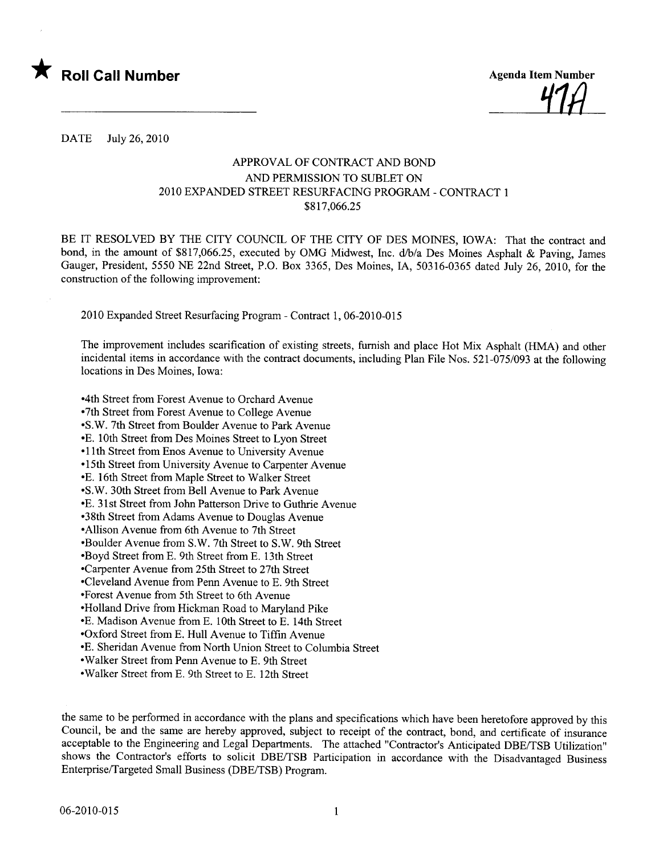

DATE July 26,2010

#### APPROVAL OF CONTRACT AND BOND AND PERMISSION TO SUBLET ON 2010 EXPANDED STREET RESURFACING PROGRAM - CONTRACT 1 \$817,066.25

BE IT RESOLVED BY THE CITY COUNCIL OF THE CITY OF DES MOINES, IOWA: That the contract and bond, in the amount of \$817,066.25, executed by OMG Midwest, Inc. d/b/a Des Moines Asphalt & Paving, James Gauger, President, 5550 NE 22nd Street, P.O. Box 3365, Des Moines, lA, 50316-0365 dated July 26, 2010, for the construction of the following improvement:

2010 Expanded Street Resurfacing Program - Contract 1,06-2010-015

The improvement includes scarification of existing streets, furnish and place Hot Mix Asphalt (HMA) and other incidental items in accordance with the contract documents, including Plan File Nos. 521-075/093 at the following locations in Des Moines, Iowa:

-4th Street from Forest Avenue to Orchard Avenue -7th Street from Forest Avenue to College Avenue -S.W. 7th Street from Boulder Avenue to Park Avenue -E. 10th Street from Des Moines Street to Lyon Street -II th Street from Enos Avenue to University Avenue -15th Street from University Avenue to Carenter Avenue - E. 16th Street from Maple Street to Walker Street -S.W. 30th Street from Bell Avenue to Park Avenue - E. 31 st Street from John Patterson Drive to Guthre Avenue -38th Street from Adams Avenue to Douglas Avenue -Allson A venue from 6th Avenue to 7th Street -Boulder Avenue from S.W. 7th Street to S.W. 9th Street -Boyd Street from E. 9th Street from E. 13th Street -Carpenter Avenue from 25th Street to 27th Street -Cleveland Avenue from Penn Avenue to E. 9th Street -Forest Avenue from 5th Street to 6th Avenue - Holland Drive from Hickman Road to Maryland Pike -E. Madison Avenue from E. 10th Street to E. 14th Street -Oxford Street from E. Hull A venue to Tiffn A venue -E. Sheridan Avenue from North Union Street to Columbia Street -Walker Street from Penn Avenue to E. 9th Street -Walker Street from E. 9th Street to E. 12th Street

the same to be performed in accordance with the plans and specifications which have been heretofore approved by this Council, be and the same are hereby approved, subject to receipt of the contract, bond, and certificate of insurance acceptable to the Engineering and Legal Deparments. The attached "Contractor's Anticipated DBE/TSB Utilization" shows the Contractor's efforts to solicit DBE/TSB Participation in accordance with the Disadvantaged Business Enterprise/Targeted Small Business (DBE/TSB) Program.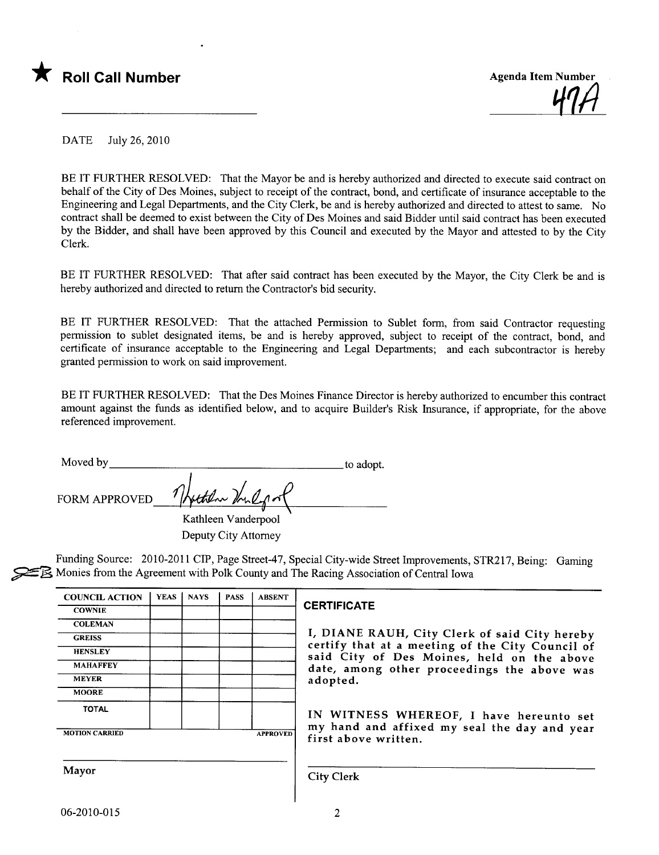



DATE July 26, 2010

BE IT FURTHER RESOLVED: That the Mayor be and is hereby authorized and directed to execute said contract on behalf of the City of Des Moines, subject to receipt of the contract, bond, and certificate of insurance acceptable to the Engineering and Legal Deparments, and the City Clerk, be and is hereby authorized and directed to attest to same. No contract shall be deemed to exist between the City of Des Moines and said Bidder until said contract has been executed by the Bidder, and shall have been approved by this Council and executed by the Mayor and attested to by the City Clerk.

BE IT FURTHER RESOLVED: That after said contract has been executed by the Mayor, the City Clerk be and is hereby authorized and directed to return the Contractor's bid security.

BE IT FURTHER RESOLVED: That the attached Permission to Sublet form, from said Contractor requesting permission to sublet designated items, be and is hereby approved, subject to receipt of the contract, bond, and certificate of insurance acceptable to the Engineering and Legal Departments; and each subcontractor is hereby granted permission to work on said improvement.

BE IT FURTHER RESOLVED: That the Des Moines Finance Director is hereby authorized to encumber this contract amount against the funds as identified below, and to acquire Builder's Risk Insurance, if appropriate, for the above referenced improvement.

| Moved by      |                  | to adopt. |
|---------------|------------------|-----------|
| FORM APPROVED | Hother Voulofort |           |
|               |                  |           |

Kathleen Vanderpool Deputy City Attorney

Funding Source: 2010-2011 CIP, Page Street-47, Special City-wide Street Improvements, STR217, Being: Gaming  $\geq$  Monies from the Agreement with Polk County and The Racing Association of Central Iowa

| <b>COUNCIL ACTION</b> | <b>YEAS</b> | <b>NAYS</b> | <b>PASS</b> | <b>ABSENT</b>   |
|-----------------------|-------------|-------------|-------------|-----------------|
| <b>COWNIE</b>         |             |             |             |                 |
| <b>COLEMAN</b>        |             |             |             |                 |
| <b>GREISS</b>         |             |             |             |                 |
| <b>HENSLEY</b>        |             |             |             |                 |
| <b>MAHAFFEY</b>       |             |             |             |                 |
| <b>MEYER</b>          |             |             |             |                 |
| <b>MOORE</b>          |             |             |             |                 |
| <b>TOTAL</b>          |             |             |             |                 |
| <b>MOTION CARRIED</b> |             |             |             | <b>APPROVED</b> |

#### CERTIFICATE

I, DIANE RAUH, City Clerk of said City hereby certify that at a meeting of the City Council of said City of Des Moines, held on the above date, among other proceedings the above was adopted.

IN WITNESS WHEREOF, I have hereunto set my hand and affixed my seal the day and year first above written.

Mayor Gity Clerk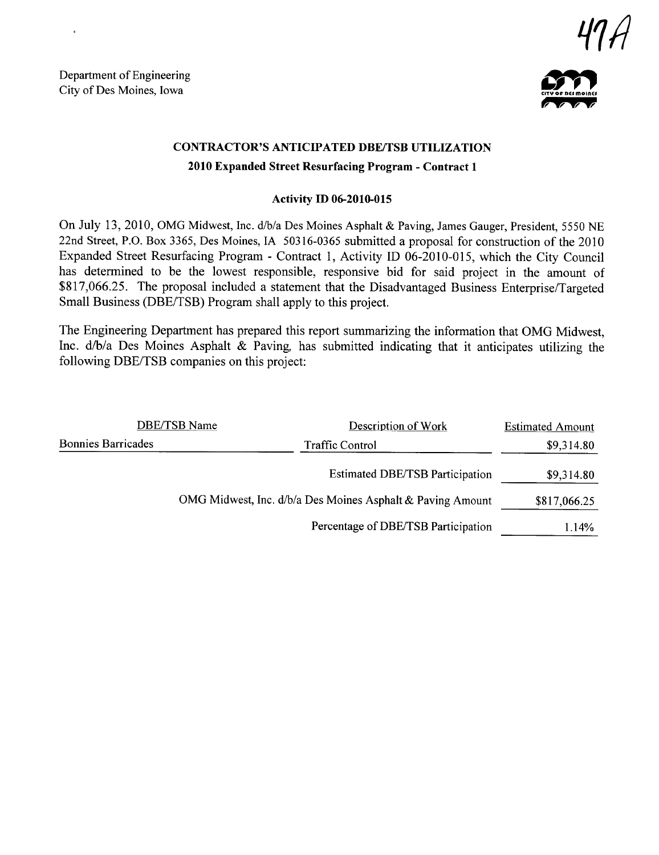Department of Engineering Department of Engineering<br>City of Des Moines, Iowa



## CONTRACTOR'S ANTICIPATED DBE/TSB UTILIZATION 2010 Expanded Street Resurfacing Program - Contract 1

#### Activity ID 06-2010-015

On July 13,2010, OMG Midwest, Inc. d/b/a Des Moines Asphalt & Paving, James Gauger, President, 5550 NE 22nd Street, P.O. Box 3365, Des Moines, IA 50316-0365 submitted a proposal for construction of the 2010 Expanded Street Resurfacing Program - Contract 1, Activity ID 06-2010-015, which the City Council has determined to be the lowest responsible, responsive bid for said project in the amount of \$817,066.25. The proposal included a statement that the Disadvantaged Business Enterprise/Targeted Small Business (DBE/TSB) Program shall apply to this project.

The Engineering Deparment has prepared this report summarizing the information that OMG Midwest, Inc. d/b/a Des Moines Asphalt & Paving, has submitted indicating that it anticipates utilizing the following DBE/TSB companies on this project:

| DBE/TSB Name              | Description of Work                                        | <b>Estimated Amount</b> |
|---------------------------|------------------------------------------------------------|-------------------------|
| <b>Bonnies Barricades</b> | <b>Traffic Control</b>                                     | \$9,314.80              |
|                           | <b>Estimated DBE/TSB Participation</b>                     | \$9,314.80              |
|                           | OMG Midwest, Inc. d/b/a Des Moines Asphalt & Paving Amount | \$817,066.25            |
|                           | Percentage of DBE/TSB Participation                        | 1.14%                   |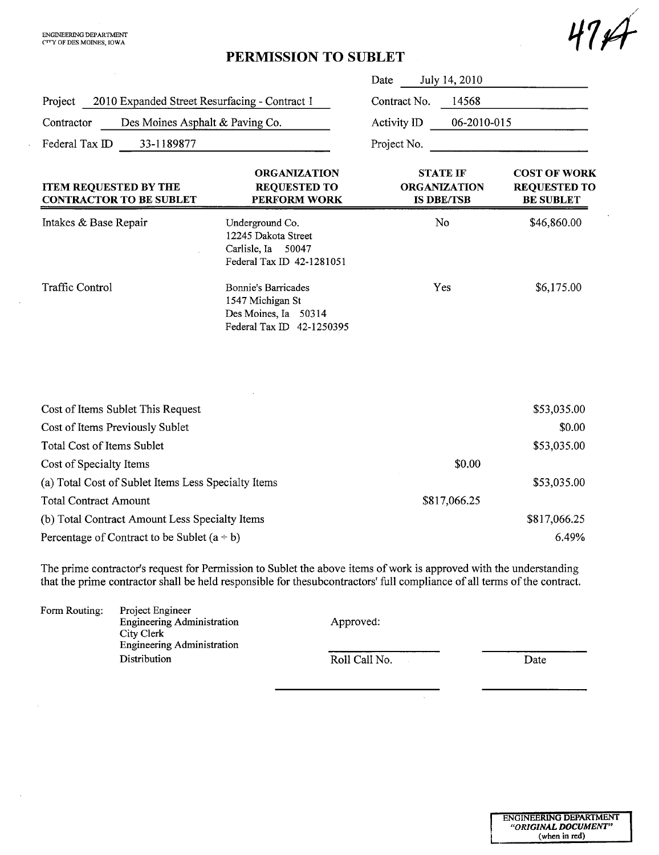$\ddot{\phantom{a}}$ 

 $\bar{z}$ 

 $\bar{\alpha}$ 

# PERMISSION TO SUBLET

|                                                                |                                                                                                     | July 14, 2010<br>Date                                       |                                                                |
|----------------------------------------------------------------|-----------------------------------------------------------------------------------------------------|-------------------------------------------------------------|----------------------------------------------------------------|
| 2010 Expanded Street Resurfacing - Contract 1<br>Project       |                                                                                                     | Contract No.<br>14568                                       |                                                                |
| Des Moines Asphalt & Paving Co.<br>Contractor                  |                                                                                                     | Activity ID<br>06-2010-015                                  |                                                                |
| Federal Tax ID<br>33-1189877                                   |                                                                                                     | Project No.                                                 |                                                                |
| <b>ITEM REQUESTED BY THE</b><br><b>CONTRACTOR TO BE SUBLET</b> | <b>ORGANIZATION</b><br><b>REQUESTED TO</b><br><b>PERFORM WORK</b>                                   | <b>STATE IF</b><br><b>ORGANIZATION</b><br><b>IS DBE/TSB</b> | <b>COST OF WORK</b><br><b>REQUESTED TO</b><br><b>BE SUBLET</b> |
| Intakes & Base Repair                                          | Underground Co.<br>12245 Dakota Street<br>Carlisle, Ia<br>50047<br>Federal Tax ID 42-1281051        | No                                                          | \$46,860.00                                                    |
| <b>Traffic Control</b>                                         | <b>Bonnie's Barricades</b><br>1547 Michigan St<br>Des Moines, Ia 50314<br>Federal Tax ID 42-1250395 | Yes                                                         | \$6,175.00                                                     |
| Cost of Items Sublet This Request                              |                                                                                                     |                                                             | \$53,035.00                                                    |
| Cost of Items Previously Sublet                                |                                                                                                     |                                                             | \$0.00                                                         |
| Total Cost of Items Sublet                                     |                                                                                                     |                                                             | \$53,035.00                                                    |
| Cost of Specialty Items                                        |                                                                                                     | \$0.00                                                      |                                                                |
| (a) Total Cost of Sublet Items Less Specialty Items            |                                                                                                     |                                                             | \$53,035.00                                                    |
| <b>Total Contract Amount</b>                                   |                                                                                                     | \$817,066.25                                                |                                                                |
| (b) Total Contract Amount Less Specialty Items                 |                                                                                                     |                                                             | \$817,066.25                                                   |
| Percentage of Contract to be Sublet $(a + b)$                  |                                                                                                     |                                                             | 6.49%                                                          |

The prime contractor's request for Permission to Sublet the above items of work is approved with the understanding that the prime contractor shall be held responsible for thesubcontractors' full compliance of all terms of the contract.

| Form Routing: | Project Engineer<br><b>Engineering Administration</b><br>City Clerk<br><b>Engineering Administration</b> | Approved:     |      |
|---------------|----------------------------------------------------------------------------------------------------------|---------------|------|
|               | Distribution                                                                                             | Roll Call No. | Date |

 $\sim$